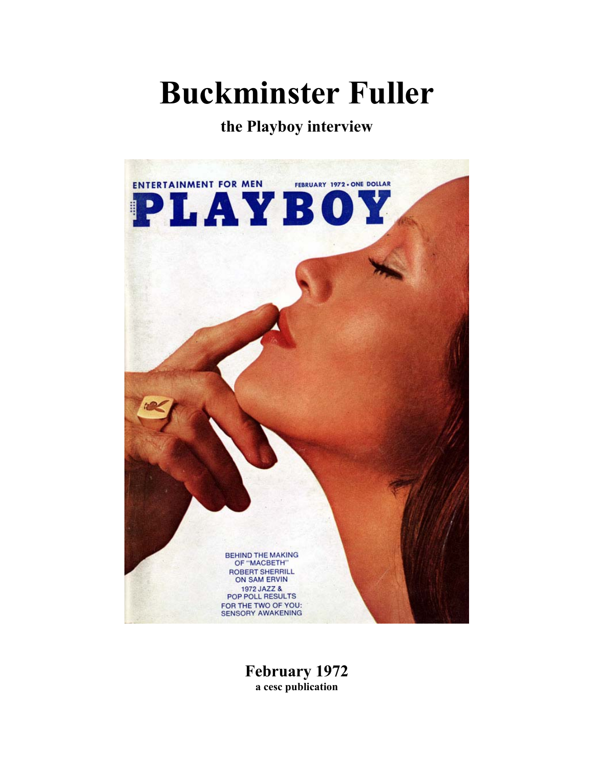# **Buckminster Fuller**

**the Playboy interview** 



# **February 1972 a cesc publication**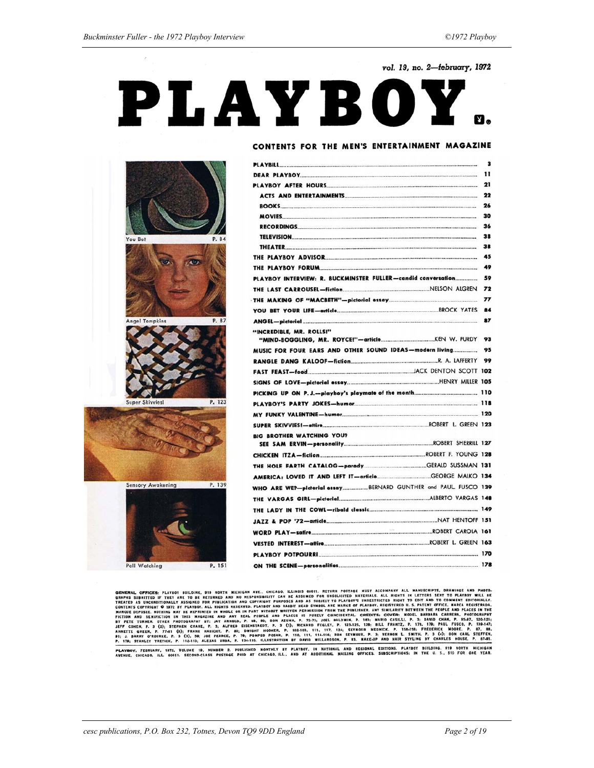vol. 19, no. 2-february, 1972



#### CONTENTS FOR THE MEN'S ENTERTAINMENT MAGAZINE

|                          | <b>MOVIES</b>                                                             | 30 |
|--------------------------|---------------------------------------------------------------------------|----|
|                          |                                                                           | 36 |
| You Bet                  | P. 84                                                                     | 38 |
|                          |                                                                           |    |
|                          |                                                                           |    |
|                          |                                                                           |    |
|                          | PLAYBOY INTERVIEW: R. BUCKMINSTER FULLER-candid conversation 59           |    |
|                          |                                                                           |    |
|                          |                                                                           |    |
|                          |                                                                           |    |
| <b>Angel Tompkins</b>    | P. 87                                                                     | 87 |
|                          | "INCREDIBLE, MR. ROLLS!"                                                  |    |
|                          |                                                                           |    |
|                          | MUSIC FOR FOUR EARS AND OTHER SOUND IDEAS-modern living 95                |    |
|                          |                                                                           |    |
|                          |                                                                           |    |
|                          |                                                                           |    |
|                          |                                                                           |    |
| <b>Super Skivvies!</b>   | P. 123                                                                    |    |
|                          |                                                                           |    |
|                          |                                                                           |    |
|                          | <b>BIG BROTHER WATCHING YOU?</b>                                          |    |
|                          |                                                                           |    |
|                          |                                                                           |    |
|                          |                                                                           |    |
|                          |                                                                           |    |
| <b>Sensory Awakening</b> | P. 139<br>WHO ARE WE?--pictorial essay BERNARD GUNTHER and PAUL FUSCO 139 |    |
|                          |                                                                           |    |
|                          |                                                                           |    |
|                          |                                                                           |    |
|                          |                                                                           |    |
|                          |                                                                           |    |
|                          |                                                                           |    |
| Poll Watching            | P. 151                                                                    |    |
|                          |                                                                           |    |

GENERAL OPFICES: PLAYBOY BUILDING, 919 NORTH NICHIGAN AVE.. CHICAGO, ILLINOIS GOSI1. RETURR POSTAGE NUST ACCOMPANY ALL MANUSCRIPTS, DRAWINGS AND PHOTOGRAPHS SUBATTED OF THEY ARE TO BE RETURRED AND NO RESPONSIBILITY CAN BE

F. TIME STANCET TRETCK, F. TIGITIS, ACEAS VRBA, F. TSUTS. RESULTATION OF PLAYBOY, IN NATIONAL AND REGIONAL EDITIONS. PLAYBOY BUILDING, 919 NORTH MICHIGAN<br>PLAYBOY, FEBRUARY, 1972, VOLUME 19, NUNBER 2. PUBLISHED NORTHLY BY P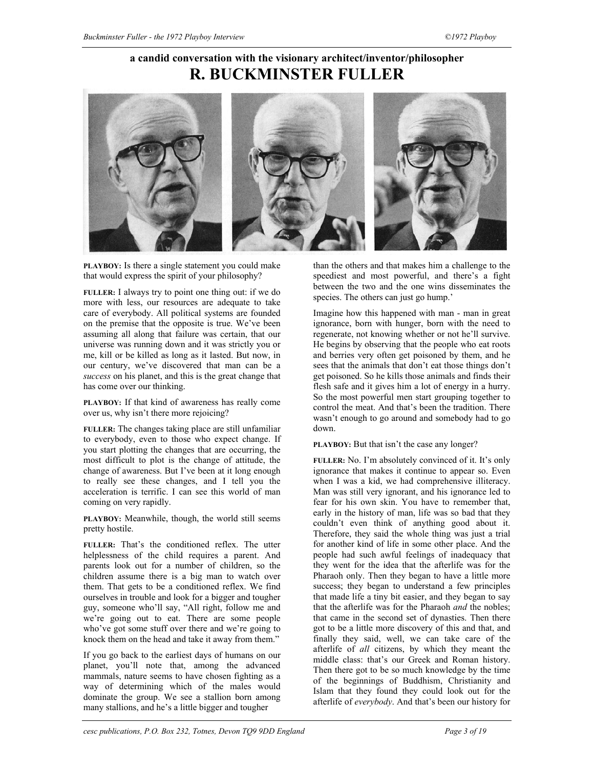## **a candid conversation with the visionary architect/inventor/philosopher R. BUCKMINSTER FULLER**



**PLAYBOY:** Is there a single statement you could make that would express the spirit of your philosophy?

**FULLER:** I always try to point one thing out: if we do more with less, our resources are adequate to take care of everybody. All political systems are founded on the premise that the opposite is true. We've been assuming all along that failure was certain, that our universe was running down and it was strictly you or me, kill or be killed as long as it lasted. But now, in our century, we've discovered that man can be a *success* on his planet, and this is the great change that has come over our thinking.

**PLAYBOY:** If that kind of awareness has really come over us, why isn't there more rejoicing?

**FULLER:** The changes taking place are still unfamiliar to everybody, even to those who expect change. If you start plotting the changes that are occurring, the most difficult to plot is the change of attitude, the change of awareness. But I've been at it long enough to really see these changes, and I tell you the acceleration is terrific. I can see this world of man coming on very rapidly.

**PLAYBOY:** Meanwhile, though, the world still seems pretty hostile.

**FULLER:** That's the conditioned reflex. The utter helplessness of the child requires a parent. And parents look out for a number of children, so the children assume there is a big man to watch over them. That gets to be a conditioned reflex. We find ourselves in trouble and look for a bigger and tougher guy, someone who'll say, "All right, follow me and we're going out to eat. There are some people who've got some stuff over there and we're going to knock them on the head and take it away from them."

If you go back to the earliest days of humans on our planet, you'll note that, among the advanced mammals, nature seems to have chosen fighting as a way of determining which of the males would dominate the group. We see a stallion born among many stallions, and he's a little bigger and tougher

than the others and that makes him a challenge to the speediest and most powerful, and there's a fight between the two and the one wins disseminates the species. The others can just go hump.'

Imagine how this happened with man - man in great ignorance, born with hunger, born with the need to regenerate, not knowing whether or not he'll survive. He begins by observing that the people who eat roots and berries very often get poisoned by them, and he sees that the animals that don't eat those things don't get poisoned. So he kills those animals and finds their flesh safe and it gives him a lot of energy in a hurry. So the most powerful men start grouping together to control the meat. And that's been the tradition. There wasn't enough to go around and somebody had to go down.

### **PLAYBOY:** But that isn't the case any longer?

**FULLER:** No. I'm absolutely convinced of it. It's only ignorance that makes it continue to appear so. Even when I was a kid, we had comprehensive illiteracy. Man was still very ignorant, and his ignorance led to fear for his own skin. You have to remember that, early in the history of man, life was so bad that they couldn't even think of anything good about it. Therefore, they said the whole thing was just a trial for another kind of life in some other place. And the people had such awful feelings of inadequacy that they went for the idea that the afterlife was for the Pharaoh only. Then they began to have a little more success; they began to understand a few principles that made life a tiny bit easier, and they began to say that the afterlife was for the Pharaoh *and* the nobles; that came in the second set of dynasties. Then there got to be a little more discovery of this and that, and finally they said, well, we can take care of the afterlife of *all* citizens, by which they meant the middle class: that's our Greek and Roman history. Then there got to be so much knowledge by the time of the beginnings of Buddhism, Christianity and Islam that they found they could look out for the afterlife of *everybody*. And that's been our history for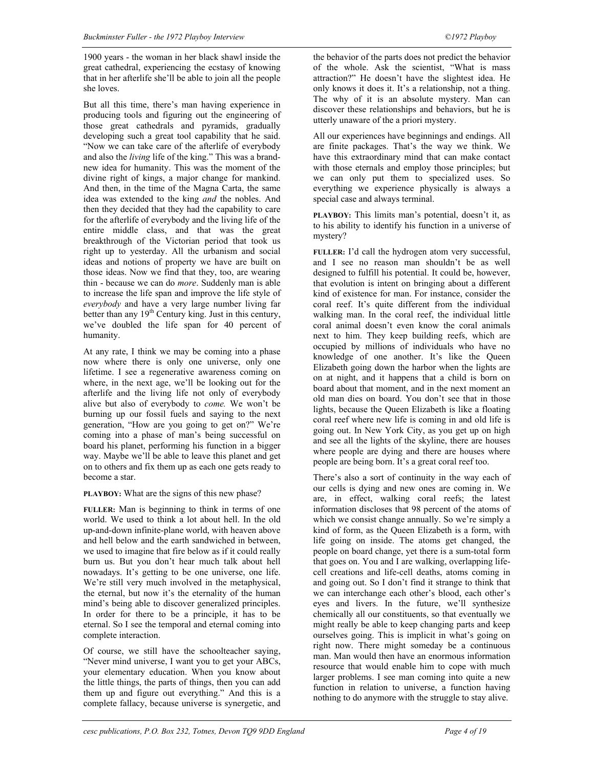1900 years - the woman in her black shawl inside the great cathedral, experiencing the ecstasy of knowing that in her afterlife she'll be able to join all the people she loves.

But all this time, there's man having experience in producing tools and figuring out the engineering of those great cathedrals and pyramids, gradually developing such a great tool capability that he said. "Now we can take care of the afterlife of everybody and also the *living* life of the king." This was a brandnew idea for humanity. This was the moment of the divine right of kings, a major change for mankind. And then, in the time of the Magna Carta, the same idea was extended to the king *and* the nobles. And then they decided that they had the capability to care for the afterlife of everybody and the living life of the entire middle class, and that was the great breakthrough of the Victorian period that took us right up to yesterday. All the urbanism and social ideas and notions of property we have are built on those ideas. Now we find that they, too, are wearing thin - because we can do *more*. Suddenly man is able to increase the life span and improve the life style of *everybody* and have a very large number living far better than any 19<sup>th</sup> Century king. Just in this century, we've doubled the life span for 40 percent of humanity.

At any rate, I think we may be coming into a phase now where there is only one universe, only one lifetime. I see a regenerative awareness coming on where, in the next age, we'll be looking out for the afterlife and the living life not only of everybody alive but also of everybody to *come.* We won't be burning up our fossil fuels and saying to the next generation, "How are you going to get on?" We're coming into a phase of man's being successful on board his planet, performing his function in a bigger way. Maybe we'll be able to leave this planet and get on to others and fix them up as each one gets ready to become a star.

**PLAYBOY:** What are the signs of this new phase?

**FULLER:** Man is beginning to think in terms of one world. We used to think a lot about hell. In the old up-and-down infinite-plane world, with heaven above and hell below and the earth sandwiched in between, we used to imagine that fire below as if it could really burn us. But you don't hear much talk about hell nowadays. It's getting to be one universe, one life. We're still very much involved in the metaphysical, the eternal, but now it's the eternality of the human mind's being able to discover generalized principles. In order for there to be a principle, it has to be eternal. So I see the temporal and eternal coming into complete interaction.

Of course, we still have the schoolteacher saying, "Never mind universe, I want you to get your ABCs, your elementary education. When you know about the little things, the parts of things, then you can add them up and figure out everything." And this is a complete fallacy, because universe is synergetic, and the behavior of the parts does not predict the behavior of the whole. Ask the scientist, "What is mass attraction?" He doesn't have the slightest idea. He only knows it does it. It's a relationship, not a thing. The why of it is an absolute mystery. Man can discover these relationships and behaviors, but he is utterly unaware of the a priori mystery.

All our experiences have beginnings and endings. All are finite packages. That's the way we think. We have this extraordinary mind that can make contact with those eternals and employ those principles; but we can only put them to specialized uses. So everything we experience physically is always a special case and always terminal.

**PLAYBOY:** This limits man's potential, doesn't it, as to his ability to identify his function in a universe of mystery?

**FULLER:** I'd call the hydrogen atom very successful, and I see no reason man shouldn't be as well designed to fulfill his potential. It could be, however, that evolution is intent on bringing about a different kind of existence for man. For instance, consider the coral reef. It's quite different from the individual walking man. In the coral reef, the individual little coral animal doesn't even know the coral animals next to him. They keep building reefs, which are occupied by millions of individuals who have no knowledge of one another. It's like the Queen Elizabeth going down the harbor when the lights are on at night, and it happens that a child is born on board about that moment, and in the next moment an old man dies on board. You don't see that in those lights, because the Queen Elizabeth is like a floating coral reef where new life is coming in and old life is going out. In New York City, as you get up on high and see all the lights of the skyline, there are houses where people are dying and there are houses where people are being born. It's a great coral reef too.

There's also a sort of continuity in the way each of our cells is dying and new ones are coming in. We are, in effect, walking coral reefs; the latest information discloses that 98 percent of the atoms of which we consist change annually. So we're simply a kind of form, as the Queen Elizabeth is a form, with life going on inside. The atoms get changed, the people on board change, yet there is a sum-total form that goes on. You and I are walking, overlapping lifecell creations and life-cell deaths, atoms coming in and going out. So I don't find it strange to think that we can interchange each other's blood, each other's eyes and livers. In the future, we'll synthesize chemically all our constituents, so that eventually we might really be able to keep changing parts and keep ourselves going. This is implicit in what's going on right now. There might someday be a continuous man. Man would then have an enormous information resource that would enable him to cope with much larger problems. I see man coming into quite a new function in relation to universe, a function having nothing to do anymore with the struggle to stay alive.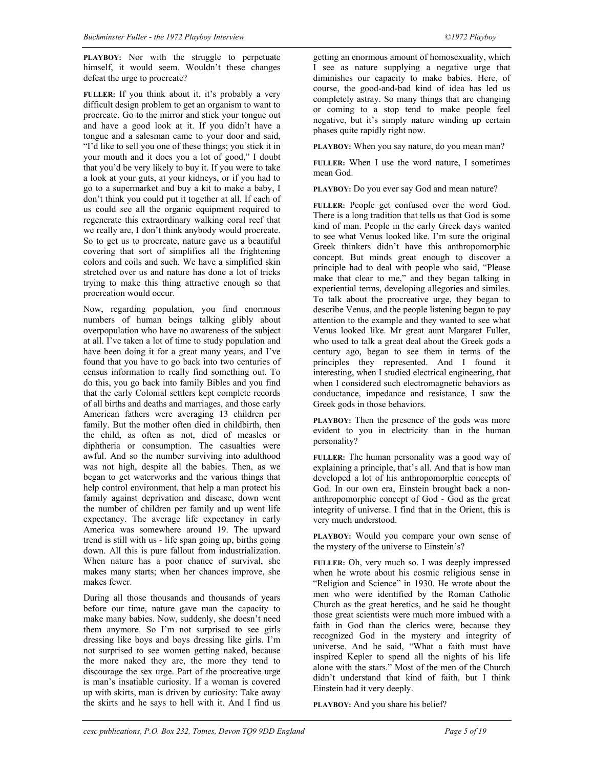**PLAYBOY:** Nor with the struggle to perpetuate himself, it would seem. Wouldn't these changes defeat the urge to procreate?

**FULLER:** If you think about it, it's probably a very difficult design problem to get an organism to want to procreate. Go to the mirror and stick your tongue out and have a good look at it. If you didn't have a tongue and a salesman came to your door and said, "I'd like to sell you one of these things; you stick it in your mouth and it does you a lot of good," I doubt that you'd be very likely to buy it. If you were to take a look at your guts, at your kidneys, or if you had to go to a supermarket and buy a kit to make a baby, I don't think you could put it together at all. If each of us could see all the organic equipment required to regenerate this extraordinary walking coral reef that we really are, I don't think anybody would procreate. So to get us to procreate, nature gave us a beautiful covering that sort of simplifies all the frightening colors and coils and such. We have a simplified skin stretched over us and nature has done a lot of tricks trying to make this thing attractive enough so that procreation would occur.

Now, regarding population, you find enormous numbers of human beings talking glibly about overpopulation who have no awareness of the subject at all. I've taken a lot of time to study population and have been doing it for a great many years, and I've found that you have to go back into two centuries of census information to really find something out. To do this, you go back into family Bibles and you find that the early Colonial settlers kept complete records of all births and deaths and marriages, and those early American fathers were averaging 13 children per family. But the mother often died in childbirth, then the child, as often as not, died of measles or diphtheria or consumption. The casualties were awful. And so the number surviving into adulthood was not high, despite all the babies. Then, as we began to get waterworks and the various things that help control environment, that help a man protect his family against deprivation and disease, down went the number of children per family and up went life expectancy. The average life expectancy in early America was somewhere around 19. The upward trend is still with us - life span going up, births going down. All this is pure fallout from industrialization. When nature has a poor chance of survival, she makes many starts; when her chances improve, she makes fewer.

During all those thousands and thousands of years before our time, nature gave man the capacity to make many babies. Now, suddenly, she doesn't need them anymore. So I'm not surprised to see girls dressing like boys and boys dressing like girls. I'm not surprised to see women getting naked, because the more naked they are, the more they tend to discourage the sex urge. Part of the procreative urge is man's insatiable curiosity. If a woman is covered up with skirts, man is driven by curiosity: Take away the skirts and he says to hell with it. And I find us getting an enormous amount of homosexuality, which I see as nature supplying a negative urge that diminishes our capacity to make babies. Here, of course, the good-and-bad kind of idea has led us completely astray. So many things that are changing or coming to a stop tend to make people feel negative, but it's simply nature winding up certain phases quite rapidly right now.

**PLAYBOY:** When you say nature, do you mean man?

**FULLER:** When I use the word nature, I sometimes mean God.

**PLAYBOY:** Do you ever say God and mean nature?

**FULLER:** People get confused over the word God. There is a long tradition that tells us that God is some kind of man. People in the early Greek days wanted to see what Venus looked like. I'm sure the original Greek thinkers didn't have this anthropomorphic concept. But minds great enough to discover a principle had to deal with people who said, "Please make that clear to me," and they began talking in experiential terms, developing allegories and similes. To talk about the procreative urge, they began to describe Venus, and the people listening began to pay attention to the example and they wanted to see what Venus looked like. Mr great aunt Margaret Fuller, who used to talk a great deal about the Greek gods a century ago, began to see them in terms of the principles they represented. And I found it interesting, when I studied electrical engineering, that when I considered such electromagnetic behaviors as conductance, impedance and resistance, I saw the Greek gods in those behaviors.

**PLAYBOY:** Then the presence of the gods was more evident to you in electricity than in the human personality?

**FULLER:** The human personality was a good way of explaining a principle, that's all. And that is how man developed a lot of his anthropomorphic concepts of God. In our own era, Einstein brought back a nonanthropomorphic concept of God - God as the great integrity of universe. I find that in the Orient, this is very much understood.

**PLAYBOY:** Would you compare your own sense of the mystery of the universe to Einstein's?

**FULLER:** Oh, very much so. I was deeply impressed when he wrote about his cosmic religious sense in "Religion and Science" in 1930. He wrote about the men who were identified by the Roman Catholic Church as the great heretics, and he said he thought those great scientists were much more imbued with a faith in God than the clerics were, because they recognized God in the mystery and integrity of universe. And he said, "What a faith must have inspired Kepler to spend all the nights of his life alone with the stars." Most of the men of the Church didn't understand that kind of faith, but I think Einstein had it very deeply.

**PLAYBOY:** And you share his belief?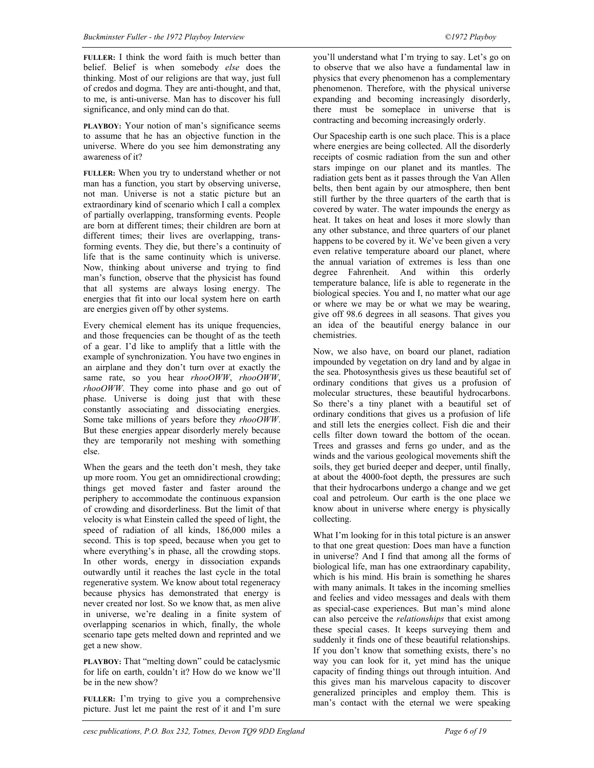**FULLER:** I think the word faith is much better than belief. Belief is when somebody *else* does the thinking. Most of our religions are that way, just full of credos and dogma. They are anti-thought, and that, to me, is anti-universe. Man has to discover his full significance, and only mind can do that.

**PLAYBOY:** Your notion of man's significance seems to assume that he has an objective function in the universe. Where do you see him demonstrating any awareness of it?

**FULLER:** When you try to understand whether or not man has a function, you start by observing universe, not man. Universe is not a static picture but an extraordinary kind of scenario which  $\overline{I}$  call a complex of partially overlapping, transforming events. People are born at different times; their children are born at different times; their lives are overlapping, transforming events. They die, but there's a continuity of life that is the same continuity which is universe. Now, thinking about universe and trying to find man's function, observe that the physicist has found that all systems are always losing energy. The energies that fit into our local system here on earth are energies given off by other systems.

Every chemical element has its unique frequencies, and those frequencies can be thought of as the teeth of a gear. I'd like to amplify that a little with the example of synchronization. You have two engines in an airplane and they don't turn over at exactly the same rate, so you hear *rhooOWW*, *rhooOWW*, *rhooOWW*. They come into phase and go out of phase. Universe is doing just that with these constantly associating and dissociating energies. Some take millions of years before they *rhooOWW*. But these energies appear disorderly merely because they are temporarily not meshing with something else.

When the gears and the teeth don't mesh, they take up more room. You get an omnidirectional crowding; things get moved faster and faster around the periphery to accommodate the continuous expansion of crowding and disorderliness. But the limit of that velocity is what Einstein called the speed of light, the speed of radiation of all kinds, 186,000 miles a second. This is top speed, because when you get to where everything's in phase, all the crowding stops. In other words, energy in dissociation expands outwardly until it reaches the last cycle in the total regenerative system. We know about total regeneracy because physics has demonstrated that energy is never created nor lost. So we know that, as men alive in universe, we're dealing in a finite system of overlapping scenarios in which, finally, the whole scenario tape gets melted down and reprinted and we get a new show.

**PLAYBOY:** That "melting down" could be cataclysmic for life on earth, couldn't it? How do we know we'll be in the new show?

**FULLER:** I'm trying to give you a comprehensive picture. Just let me paint the rest of it and I'm sure

you'll understand what I'm trying to say. Let's go on to observe that we also have a fundamental law in physics that every phenomenon has a complementary phenomenon. Therefore, with the physical universe expanding and becoming increasingly disorderly, there must be someplace in universe that is contracting and becoming increasingly orderly.

Our Spaceship earth is one such place. This is a place where energies are being collected. All the disorderly receipts of cosmic radiation from the sun and other stars impinge on our planet and its mantles. The radiation gets bent as it passes through the Van Allen belts, then bent again by our atmosphere, then bent still further by the three quarters of the earth that is covered by water. The water impounds the energy as heat. It takes on heat and loses it more slowly than any other substance, and three quarters of our planet happens to be covered by it. We've been given a very even relative temperature aboard our planet, where the annual variation of extremes is less than one degree Fahrenheit. And within this orderly temperature balance, life is able to regenerate in the biological species. You and I, no matter what our age or where we may be or what we may be wearing, give off 98.6 degrees in all seasons. That gives you an idea of the beautiful energy balance in our chemistries.

Now, we also have, on board our planet, radiation impounded by vegetation on dry land and by algae in the sea. Photosynthesis gives us these beautiful set of ordinary conditions that gives us a profusion of molecular structures, these beautiful hydrocarbons. So there's a tiny planet with a beautiful set of ordinary conditions that gives us a profusion of life and still lets the energies collect. Fish die and their cells filter down toward the bottom of the ocean. Trees and grasses and ferns go under, and as the winds and the various geological movements shift the soils, they get buried deeper and deeper, until finally, at about the 4000-foot depth, the pressures are such that their hydrocarbons undergo a change and we get coal and petroleum. Our earth is the one place we know about in universe where energy is physically collecting.

What I'm looking for in this total picture is an answer to that one great question: Does man have a function in universe? And I find that among all the forms of biological life, man has one extraordinary capability, which is his mind. His brain is something he shares with many animals. It takes in the incoming smellies and feelies and video messages and deals with them as special-case experiences. But man's mind alone can also perceive the *relationships* that exist among these special cases. It keeps surveying them and suddenly it finds one of these beautiful relationships. If you don't know that something exists, there's no way you can look for it, yet mind has the unique capacity of finding things out through intuition. And this gives man his marvelous capacity to discover generalized principles and employ them. This is man's contact with the eternal we were speaking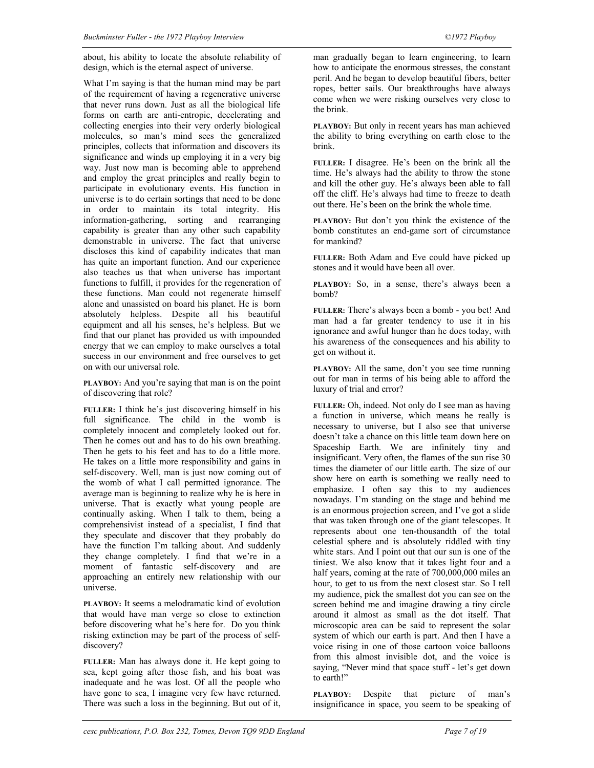about, his ability to locate the absolute reliability of design, which is the eternal aspect of universe.

What I'm saying is that the human mind may be part of the requirement of having a regenerative universe that never runs down. Just as all the biological life forms on earth are anti-entropic, decelerating and collecting energies into their very orderly biological molecules, so man's mind sees the generalized principles, collects that information and discovers its significance and winds up employing it in a very big way. Just now man is becoming able to apprehend and employ the great principles and really begin to participate in evolutionary events. His function in universe is to do certain sortings that need to be done in order to maintain its total integrity. His information-gathering, sorting and rearranging capability is greater than any other such capability demonstrable in universe. The fact that universe discloses this kind of capability indicates that man has quite an important function. And our experience also teaches us that when universe has important functions to fulfill, it provides for the regeneration of these functions. Man could not regenerate himself alone and unassisted on board his planet. He is born absolutely helpless. Despite all his beautiful equipment and all his senses, he's helpless. But we find that our planet has provided us with impounded energy that we can employ to make ourselves a total success in our environment and free ourselves to get on with our universal role.

**PLAYBOY:** And you're saying that man is on the point of discovering that role?

**FULLER:** I think he's just discovering himself in his full significance. The child in the womb is completely innocent and completely looked out for. Then he comes out and has to do his own breathing. Then he gets to his feet and has to do a little more. He takes on a little more responsibility and gains in self-discovery. Well, man is just now coming out of the womb of what I call permitted ignorance. The average man is beginning to realize why he is here in universe. That is exactly what young people are continually asking. When I talk to them, being a comprehensivist instead of a specialist, I find that they speculate and discover that they probably do have the function I'm talking about. And suddenly they change completely. I find that we're in a moment of fantastic self-discovery and are approaching an entirely new relationship with our universe.

**PLAYBOY:** It seems a melodramatic kind of evolution that would have man verge so close to extinction before discovering what he's here for. Do you think risking extinction may be part of the process of selfdiscovery?

**FULLER:** Man has always done it. He kept going to sea, kept going after those fish, and his boat was inadequate and he was lost. Of all the people who have gone to sea, I imagine very few have returned. There was such a loss in the beginning. But out of it, man gradually began to learn engineering, to learn how to anticipate the enormous stresses, the constant peril. And he began to develop beautiful fibers, better ropes, better sails. Our breakthroughs have always come when we were risking ourselves very close to the brink.

**PLAYBOY:** But only in recent years has man achieved the ability to bring everything on earth close to the brink.

**FULLER:** I disagree. He's been on the brink all the time. He's always had the ability to throw the stone and kill the other guy. He's always been able to fall off the cliff. He's always had time to freeze to death out there. He's been on the brink the whole time.

**PLAYBOY:** But don't you think the existence of the bomb constitutes an end-game sort of circumstance for mankind?

**FULLER:** Both Adam and Eve could have picked up stones and it would have been all over.

**PLAYBOY:** So, in a sense, there's always been a bomb?

**FULLER:** There's always been a bomb - you bet! And man had a far greater tendency to use it in his ignorance and awful hunger than he does today, with his awareness of the consequences and his ability to get on without it.

**PLAYBOY:** All the same, don't you see time running out for man in terms of his being able to afford the luxury of trial and error?

**FULLER:** Oh, indeed. Not only do I see man as having a function in universe, which means he really is necessary to universe, but I also see that universe doesn't take a chance on this little team down here on Spaceship Earth. We are infinitely tiny and insignificant. Very often, the flames of the sun rise 30 times the diameter of our little earth. The size of our show here on earth is something we really need to emphasize. I often say this to my audiences nowadays. I'm standing on the stage and behind me is an enormous projection screen, and I've got a slide that was taken through one of the giant telescopes. It represents about one ten-thousandth of the total celestial sphere and is absolutely riddled with tiny white stars. And I point out that our sun is one of the tiniest. We also know that it takes light four and a half years, coming at the rate of  $700,000,000$  miles an hour, to get to us from the next closest star. So I tell my audience, pick the smallest dot you can see on the screen behind me and imagine drawing a tiny circle around it almost as small as the dot itself. That microscopic area can be said to represent the solar system of which our earth is part. And then I have a voice rising in one of those cartoon voice balloons from this almost invisible dot, and the voice is saying, "Never mind that space stuff - let's get down to earth!"

**PLAYBOY:** Despite that picture of man's insignificance in space, you seem to be speaking of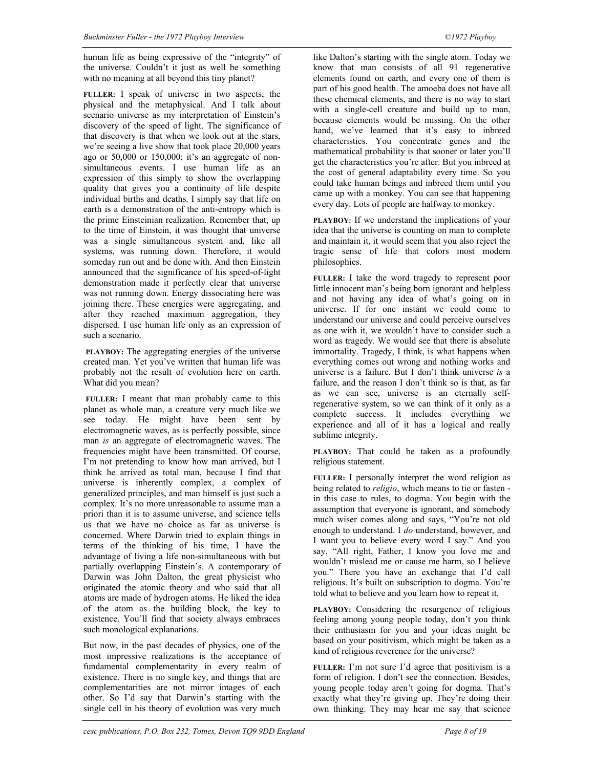human life as being expressive of the "integrity" of the universe. Couldn't it just as well be something with no meaning at all beyond this tiny planet?

**FULLER:** I speak of universe in two aspects, the physical and the metaphysical. And I talk about scenario universe as my interpretation of Einstein's discovery of the speed of light. The significance of that discovery is that when we look out at the stars, we're seeing a live show that took place 20,000 years ago or 50,000 or 150,000; it's an aggregate of nonsimultaneous events. I use human life as an expression of this simply to show the overlapping quality that gives you a continuity of life despite individual births and deaths. I simply say that life on earth is a demonstration of the anti-entropy which is the prime Einsteinian realization. Remember that, up to the time of Einstein, it was thought that universe was a single simultaneous system and, like all systems, was running down. Therefore, it would someday run out and be done with. And then Einstein announced that the significance of his speed-of-light demonstration made it perfectly clear that universe was not running down. Energy dissociating here was joining there. These energies were aggregating, and after they reached maximum aggregation, they dispersed. I use human life only as an expression of such a scenario.

**PLAYBOY:** The aggregating energies of the universe created man. Yet you've written that human life was probably not the result of evolution here on earth. What did you mean?

**FULLER:** I meant that man probably came to this planet as whole man, a creature very much like we see today. He might have been sent by electromagnetic waves, as is perfectly possible, since man *is* an aggregate of electromagnetic waves. The frequencies might have been transmitted. Of course, I'm not pretending to know how man arrived, but I think he arrived as total man, because I find that universe is inherently complex, a complex of generalized principles, and man himself is just such a complex. It's no more unreasonable to assume man a priori than it is to assume universe, and science tells us that we have no choice as far as universe is concerned. Where Darwin tried to explain things in terms of the thinking of his time, I have the advantage of living a life non-simultaneous with but partially overlapping Einstein's. A contemporary of Darwin was John Dalton, the great physicist who originated the atomic theory and who said that all atoms are made of hydrogen atoms. He liked the idea of the atom as the building block, the key to existence. You'll find that society always embraces such monological explanations.

But now, in the past decades of physics, one of the most impressive realizations is the acceptance of fundamental complementarity in every realm of existence. There is no single key, and things that are complementarities are not mirror images of each other. So I'd say that Darwin's starting with the single cell in his theory of evolution was very much like Dalton's starting with the single atom. Today we know that man consists of all 91 regenerative elements found on earth, and every one of them is part of his good health. The amoeba does not have all these chemical elements, and there is no way to start with a single-cell creature and build up to man, because elements would be missing. On the other hand, we've learned that it's easy to inbreed characteristics. You concentrate genes and the mathematical probability is that sooner or later you'll get the characteristics you're after. But you inbreed at the cost of general adaptability every time. So you could take human beings and inbreed them until you came up with a monkey. You can see that happening every day. Lots of people are halfway to monkey.

**PLAYBOY:** If we understand the implications of your idea that the universe is counting on man to complete and maintain it, it would seem that you also reject the tragic sense of life that colors most modern philosophies.

**FULLER:** I take the word tragedy to represent poor little innocent man's being born ignorant and helpless and not having any idea of what's going on in universe. If for one instant we could come to understand our universe and could perceive ourselves as one with it, we wouldn't have to consider such a word as tragedy. We would see that there is absolute immortality. Tragedy, I think, is what happens when everything comes out wrong and nothing works and universe is a failure. But I don't think universe *is* a failure, and the reason I don't think so is that, as far as we can see, universe is an eternally selfregenerative system, so we can think of it only as a complete success. It includes everything we experience and all of it has a logical and really sublime integrity.

**PLAYBOY:** That could be taken as a profoundly religious statement.

**FULLER:** I personally interpret the word religion as being related to *religio*, which means to tie or fasten in this case to rules, to dogma. You begin with the assumption that everyone is ignorant, and somebody much wiser comes along and says, "You're not old enough to understand. I *do* understand, however, and I want you to believe every word I say." And you say, "All right, Father, I know you love me and wouldn't mislead me or cause me harm, so I believe you." There you have an exchange that I'd call religious. It's built on subscription to dogma. You're told what to believe and you learn how to repeat it.

**PLAYBOY:** Considering the resurgence of religious feeling among young people today, don't you think their enthusiasm for you and your ideas might be based on your positivism, which might be taken as a kind of religious reverence for the universe?

**FULLER:** I'm not sure I'd agree that positivism is a form of religion. I don't see the connection. Besides, young people today aren't going for dogma. That's exactly what they're giving up. They're doing their own thinking. They may hear me say that science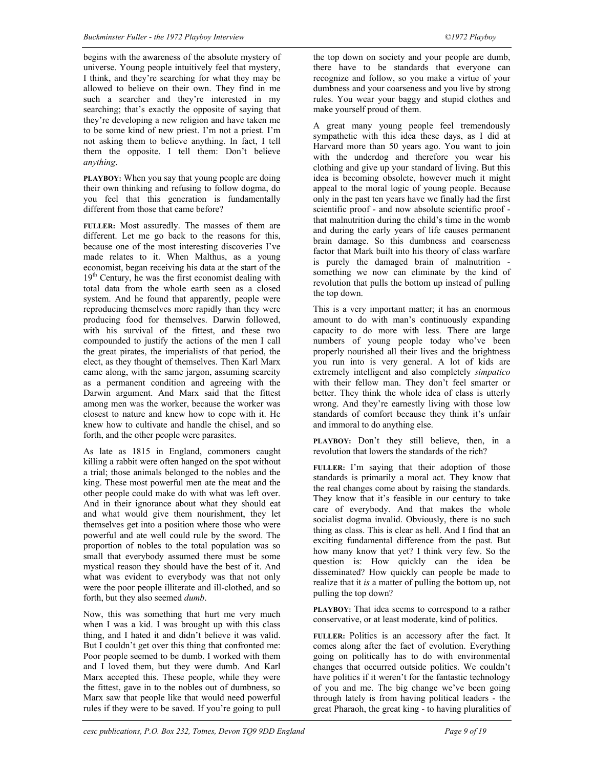begins with the awareness of the absolute mystery of universe. Young people intuitively feel that mystery, I think, and they're searching for what they may be allowed to believe on their own. They find in me such a searcher and they're interested in my searching; that's exactly the opposite of saying that they're developing a new religion and have taken me to be some kind of new priest. I'm not a priest. I'm not asking them to believe anything. In fact, I tell them the opposite. I tell them: Don't believe *anything*.

**PLAYBOY:** When you say that young people are doing their own thinking and refusing to follow dogma, do you feel that this generation is fundamentally different from those that came before?

**FULLER:** Most assuredly. The masses of them are different. Let me go back to the reasons for this, because one of the most interesting discoveries I've made relates to it. When Malthus, as a young economist, began receiving his data at the start of the 19<sup>th</sup> Century, he was the first economist dealing with total data from the whole earth seen as a closed system. And he found that apparently, people were reproducing themselves more rapidly than they were producing food for themselves. Darwin followed, with his survival of the fittest, and these two compounded to justify the actions of the men I call the great pirates, the imperialists of that period, the elect, as they thought of themselves. Then Karl Marx came along, with the same jargon, assuming scarcity as a permanent condition and agreeing with the Darwin argument. And Marx said that the fittest among men was the worker, because the worker was closest to nature and knew how to cope with it. He knew how to cultivate and handle the chisel, and so forth, and the other people were parasites.

As late as 1815 in England, commoners caught killing a rabbit were often hanged on the spot without a trial; those animals belonged to the nobles and the king. These most powerful men ate the meat and the other people could make do with what was left over. And in their ignorance about what they should eat and what would give them nourishment, they let themselves get into a position where those who were powerful and ate well could rule by the sword. The proportion of nobles to the total population was so small that everybody assumed there must be some mystical reason they should have the best of it. And what was evident to everybody was that not only were the poor people illiterate and ill-clothed, and so forth, but they also seemed *dumb*.

Now, this was something that hurt me very much when I was a kid. I was brought up with this class thing, and I hated it and didn't believe it was valid. But I couldn't get over this thing that confronted me: Poor people seemed to be dumb. I worked with them and I loved them, but they were dumb. And Karl Marx accepted this. These people, while they were the fittest, gave in to the nobles out of dumbness, so Marx saw that people like that would need powerful rules if they were to be saved. If you're going to pull the top down on society and your people are dumb, there have to be standards that everyone can recognize and follow, so you make a virtue of your dumbness and your coarseness and you live by strong rules. You wear your baggy and stupid clothes and make yourself proud of them.

A great many young people feel tremendously sympathetic with this idea these days, as I did at Harvard more than 50 years ago. You want to join with the underdog and therefore you wear his clothing and give up your standard of living. But this idea is becoming obsolete, however much it might appeal to the moral logic of young people. Because only in the past ten years have we finally had the first scientific proof - and now absolute scientific proof that malnutrition during the child's time in the womb and during the early years of life causes permanent brain damage. So this dumbness and coarseness factor that Mark built into his theory of class warfare is purely the damaged brain of malnutrition something we now can eliminate by the kind of revolution that pulls the bottom up instead of pulling the top down.

This is a very important matter; it has an enormous amount to do with man's continuously expanding capacity to do more with less. There are large numbers of young people today who've been properly nourished all their lives and the brightness you run into is very general. A lot of kids are extremely intelligent and also completely *simpatico* with their fellow man. They don't feel smarter or better. They think the whole idea of class is utterly wrong. And they're earnestly living with those low standards of comfort because they think it's unfair and immoral to do anything else.

**PLAYBOY:** Don't they still believe, then, in a revolution that lowers the standards of the rich?

**FULLER:** I'm saying that their adoption of those standards is primarily a moral act. They know that the real changes come about by raising the standards. They know that it's feasible in our century to take care of everybody. And that makes the whole socialist dogma invalid. Obviously, there is no such thing as class. This is clear as hell. And I find that an exciting fundamental difference from the past. But how many know that yet? I think very few. So the question is: How quickly can the idea be disseminated? How quickly can people be made to realize that it *is* a matter of pulling the bottom up, not pulling the top down?

**PLAYBOY:** That idea seems to correspond to a rather conservative, or at least moderate, kind of politics.

**FULLER:** Politics is an accessory after the fact. It comes along after the fact of evolution. Everything going on politically has to do with environmental changes that occurred outside politics. We couldn't have politics if it weren't for the fantastic technology of you and me. The big change we've been going through lately is from having political leaders - the great Pharaoh, the great king - to having pluralities of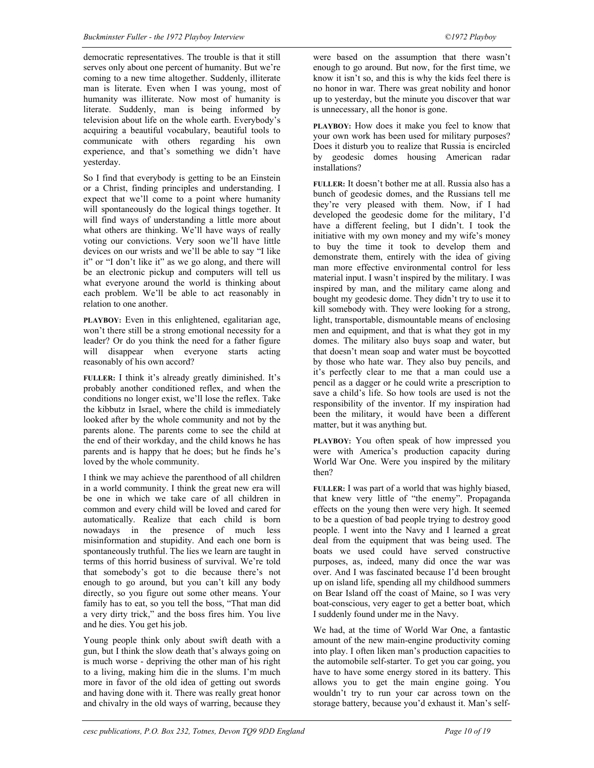democratic representatives. The trouble is that it still serves only about one percent of humanity. But we're coming to a new time altogether. Suddenly, illiterate man is literate. Even when I was young, most of humanity was illiterate. Now most of humanity is literate. Suddenly, man is being informed by television about life on the whole earth. Everybody's acquiring a beautiful vocabulary, beautiful tools to communicate with others regarding his own experience, and that's something we didn't have yesterday.

So I find that everybody is getting to be an Einstein or a Christ, finding principles and understanding. I expect that we'll come to a point where humanity will spontaneously do the logical things together. It will find ways of understanding a little more about what others are thinking. We'll have ways of really voting our convictions. Very soon we'll have little devices on our wrists and we'll be able to say "I like it" or "I don't like it" as we go along, and there will be an electronic pickup and computers will tell us what everyone around the world is thinking about each problem. We'll be able to act reasonably in relation to one another.

**PLAYBOY:** Even in this enlightened, egalitarian age, won't there still be a strong emotional necessity for a leader? Or do you think the need for a father figure will disappear when everyone starts acting reasonably of his own accord?

**FULLER:** I think it's already greatly diminished. It's probably another conditioned reflex, and when the conditions no longer exist, we'll lose the reflex. Take the kibbutz in Israel, where the child is immediately looked after by the whole community and not by the parents alone. The parents come to see the child at the end of their workday, and the child knows he has parents and is happy that he does; but he finds he's loved by the whole community.

I think we may achieve the parenthood of all children in a world community. I think the great new era will be one in which we take care of all children in common and every child will be loved and cared for automatically. Realize that each child is born nowadays in the presence of much less misinformation and stupidity. And each one born is spontaneously truthful. The lies we learn are taught in terms of this horrid business of survival. We're told that somebody's got to die because there's not enough to go around, but you can't kill any body directly, so you figure out some other means. Your family has to eat, so you tell the boss, "That man did a very dirty trick," and the boss fires him. You live and he dies. You get his job.

Young people think only about swift death with a gun, but I think the slow death that's always going on is much worse - depriving the other man of his right to a living, making him die in the slums. I'm much more in favor of the old idea of getting out swords and having done with it. There was really great honor and chivalry in the old ways of warring, because they were based on the assumption that there wasn't enough to go around. But now, for the first time, we know it isn't so, and this is why the kids feel there is no honor in war. There was great nobility and honor up to yesterday, but the minute you discover that war is unnecessary, all the honor is gone.

**PLAYBOY:** How does it make you feel to know that your own work has been used for military purposes? Does it disturb you to realize that Russia is encircled by geodesic domes housing American radar installations?

**FULLER:** It doesn't bother me at all. Russia also has a bunch of geodesic domes, and the Russians tell me they're very pleased with them. Now, if I had developed the geodesic dome for the military, I'd have a different feeling, but I didn't. I took the initiative with my own money and my wife's money to buy the time it took to develop them and demonstrate them, entirely with the idea of giving man more effective environmental control for less material input. I wasn't inspired by the military. I was inspired by man, and the military came along and bought my geodesic dome. They didn't try to use it to kill somebody with. They were looking for a strong, light, transportable, dismountable means of enclosing men and equipment, and that is what they got in my domes. The military also buys soap and water, but that doesn't mean soap and water must be boycotted by those who hate war. They also buy pencils, and it's perfectly clear to me that a man could use a pencil as a dagger or he could write a prescription to save a child's life. So how tools are used is not the responsibility of the inventor. If my inspiration had been the military, it would have been a different matter, but it was anything but.

**PLAYBOY:** You often speak of how impressed you were with America's production capacity during World War One. Were you inspired by the military then?

**FULLER:** I was part of a world that was highly biased, that knew very little of "the enemy". Propaganda effects on the young then were very high. It seemed to be a question of bad people trying to destroy good people. I went into the Navy and I learned a great deal from the equipment that was being used. The boats we used could have served constructive purposes, as, indeed, many did once the war was over. And I was fascinated because I'd been brought up on island life, spending all my childhood summers on Bear Island off the coast of Maine, so I was very boat-conscious, very eager to get a better boat, which I suddenly found under me in the Navy.

We had, at the time of World War One, a fantastic amount of the new main-engine productivity coming into play. I often liken man's production capacities to the automobile self-starter. To get you car going, you have to have some energy stored in its battery. This allows you to get the main engine going. You wouldn't try to run your car across town on the storage battery, because you'd exhaust it. Man's self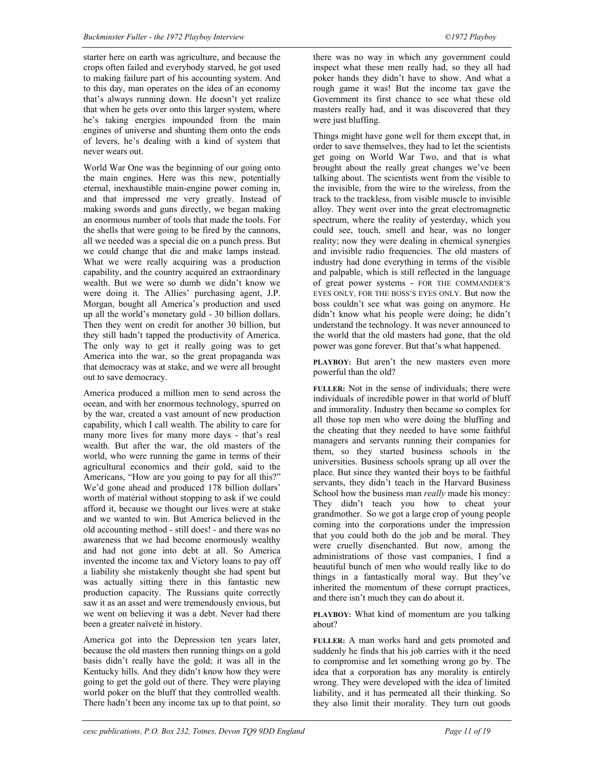starter here on earth was agriculture, and because the crops often failed and everybody starved, he got used to making failure part of his accounting system. And to this day, man operates on the idea of an economy that's always running down. He doesn't yet realize that when he gets over onto this larger system, where he's taking energies impounded from the main engines of universe and shunting them onto the ends of levers, he's dealing with a kind of system that never wears out.

World War One was the beginning of our going onto the main engines. Here was this new, potentially eternal, inexhaustible main-engine power coming in, and that impressed me very greatly. Instead of making swords and guns directly, we began making an enormous number of tools that made the tools. For the shells that were going to be fired by the cannons, all we needed was a special die on a punch press. But we could change that die and make lamps instead. What we were really acquiring was a production capability, and the country acquired an extraordinary wealth. But we were so dumb we didn't know we were doing it. The Allies' purchasing agent, J.P. Morgan, bought all America's production and used up all the world's monetary gold - 30 billion dollars. Then they went on credit for another 30 billion, but they still hadn't tapped the productivity of America. The only way to get it really going was to get America into the war, so the great propaganda was that democracy was at stake, and we were all brought out to save democracy.

America produced a million men to send across the ocean, and with her enormous technology, spurred on by the war, created a vast amount of new production capability, which I call wealth. The ability to care for many more lives for many more days - that's real wealth. But after the war, the old masters of the world, who were running the game in terms of their agricultural economics and their gold, said to the Americans, "How are you going to pay for all this?" We'd gone ahead and produced 178 billion dollars' worth of matérial without stopping to ask if we could afford it, because we thought our lives were at stake and we wanted to win. But America believed in the old accounting method - still does! - and there was no awareness that we had become enormously wealthy and had not gone into debt at all. So America invented the income tax and Victory loans to pay off a liability she mistakenly thought she had spent but was actually sitting there in this fantastic new production capacity. The Russians quite correctly saw it as an asset and were tremendously envious, but we went on believing it was a debt. Never had there been a greater naïveté in history.

America got into the Depression ten years later, because the old masters then running things on a gold basis didn't really have the gold; it was all in the Kentucky hills. And they didn't know how they were going to get the gold out of there. They were playing world poker on the bluff that they controlled wealth. There hadn't been any income tax up to that point, so there was no way in which any government could inspect what these men really had, so they all had poker hands they didn't have to show. And what a rough game it was! But the income tax gave the Government its first chance to see what these old masters really had, and it was discovered that they were just bluffing.

Things might have gone well for them except that, in order to save themselves, they had to let the scientists get going on World War Two, and that is what brought about the really great changes we've been talking about. The scientists went from the visible to the invisible, from the wire to the wireless, from the track to the trackless, from visible muscle to invisible alloy. They went over into the great electromagnetic spectrum, where the reality of yesterday, which you could see, touch, smell and hear, was no longer reality; now they were dealing in chemical synergies and invisible radio frequencies. The old masters of industry had done everything in terms of the visible and palpable, which is still reflected in the language of great power systems - FOR THE COMMANDER'S EYES ONLY, FOR THE BOSS'S EYES ONLY. But now the boss couldn't see what was going on anymore. He didn't know what his people were doing; he didn't understand the technology. It was never announced to the world that the old masters had gone, that the old power was gone forever. But that's what happened.

**PLAYBOY:** But aren't the new masters even more powerful than the old?

**FULLER:** Not in the sense of individuals; there were individuals of incredible power in that world of bluff and immorality. Industry then became so complex for all those top men who were doing the bluffing and the cheating that they needed to have some faithful managers and servants running their companies for them, so they started business schools in the universities. Business schools sprang up all over the place. But since they wanted their boys to be faithful servants, they didn't teach in the Harvard Business School how the business man *really* made his money: They didn't teach you how to cheat your grandmother. So we got a large crop of young people coming into the corporations under the impression that you could both do the job and be moral. They were cruelly disenchanted. But now, among the administrations of those vast companies, I find a beautiful bunch of men who would really like to do things in a fantastically moral way. But they've inherited the momentum of these corrupt practices, and there isn't much they can do about it.

**PLAYBOY:** What kind of momentum are you talking about?

**FULLER:** A man works hard and gets promoted and suddenly he finds that his job carries with it the need to compromise and let something wrong go by. The idea that a corporation has any morality is entirely wrong. They were developed with the idea of limited liability, and it has permeated all their thinking. So they also limit their morality. They turn out goods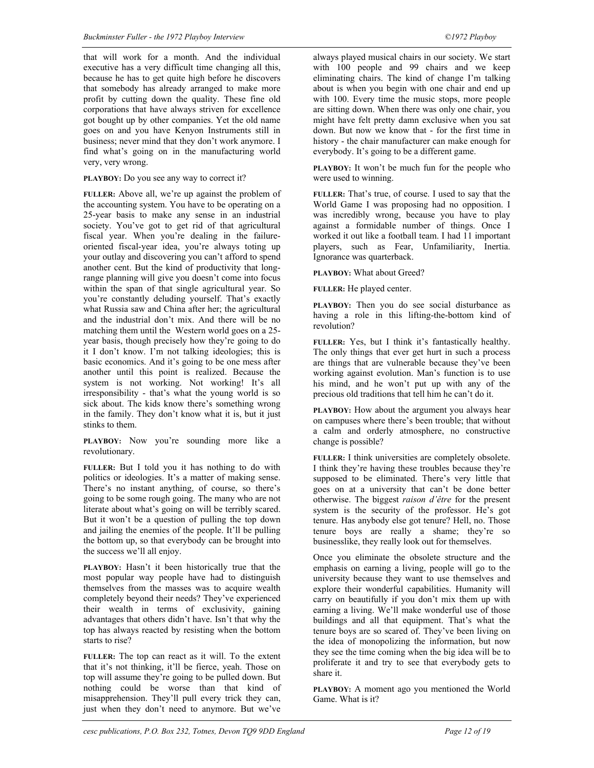that will work for a month. And the individual executive has a very difficult time changing all this, because he has to get quite high before he discovers that somebody has already arranged to make more profit by cutting down the quality. These fine old corporations that have always striven for excellence got bought up by other companies. Yet the old name goes on and you have Kenyon Instruments still in business; never mind that they don't work anymore. I find what's going on in the manufacturing world very, very wrong.

#### **PLAYBOY:** Do you see any way to correct it?

**FULLER:** Above all, we're up against the problem of the accounting system. You have to be operating on a 25-year basis to make any sense in an industrial society. You've got to get rid of that agricultural fiscal year. When you're dealing in the failureoriented fiscal-year idea, you're always toting up your outlay and discovering you can't afford to spend another cent. But the kind of productivity that longrange planning will give you doesn't come into focus within the span of that single agricultural year. So you're constantly deluding yourself. That's exactly what Russia saw and China after her; the agricultural and the industrial don't mix. And there will be no matching them until the Western world goes on a 25 year basis, though precisely how they're going to do it I don't know. I'm not talking ideologies; this is basic economics. And it's going to be one mess after another until this point is realized. Because the system is not working. Not working! It's all irresponsibility - that's what the young world is so sick about. The kids know there's something wrong in the family. They don't know what it is, but it just stinks to them.

**PLAYBOY:** Now you're sounding more like a revolutionary.

**FULLER:** But I told you it has nothing to do with politics or ideologies. It's a matter of making sense. There's no instant anything, of course, so there's going to be some rough going. The many who are not literate about what's going on will be terribly scared. But it won't be a question of pulling the top down and jailing the enemies of the people. It'll be pulling the bottom up, so that everybody can be brought into the success we'll all enjoy.

**PLAYBOY:** Hasn't it been historically true that the most popular way people have had to distinguish themselves from the masses was to acquire wealth completely beyond their needs? They've experienced their wealth in terms of exclusivity, gaining advantages that others didn't have. Isn't that why the top has always reacted by resisting when the bottom starts to rise?

**FULLER:** The top can react as it will. To the extent that it's not thinking, it'll be fierce, yeah. Those on top will assume they're going to be pulled down. But nothing could be worse than that kind of misapprehension. They'll pull every trick they can, just when they don't need to anymore. But we've always played musical chairs in our society. We start with 100 people and 99 chairs and we keep eliminating chairs. The kind of change I'm talking about is when you begin with one chair and end up with 100. Every time the music stops, more people are sitting down. When there was only one chair, you might have felt pretty damn exclusive when you sat down. But now we know that - for the first time in history - the chair manufacturer can make enough for everybody. It's going to be a different game.

**PLAYBOY:** It won't be much fun for the people who were used to winning.

**FULLER:** That's true, of course. I used to say that the World Game I was proposing had no opposition. I was incredibly wrong, because you have to play against a formidable number of things. Once I worked it out like a football team. I had 11 important players, such as Fear, Unfamiliarity, Inertia. Ignorance was quarterback.

**PLAYBOY:** What about Greed?

**FULLER:** He played center.

**PLAYBOY:** Then you do see social disturbance as having a role in this lifting-the-bottom kind of revolution?

**FULLER:** Yes, but I think it's fantastically healthy. The only things that ever get hurt in such a process are things that are vulnerable because they've been working against evolution. Man's function is to use his mind, and he won't put up with any of the precious old traditions that tell him he can't do it.

**PLAYBOY:** How about the argument you always hear on campuses where there's been trouble; that without a calm and orderly atmosphere, no constructive change is possible?

**FULLER:** I think universities are completely obsolete. I think they're having these troubles because they're supposed to be eliminated. There's very little that goes on at a university that can't be done better otherwise. The biggest *raison d'être* for the present system is the security of the professor. He's got tenure. Has anybody else got tenure? Hell, no. Those tenure boys are really a shame; they're so businesslike, they really look out for themselves.

Once you eliminate the obsolete structure and the emphasis on earning a living, people will go to the university because they want to use themselves and explore their wonderful capabilities. Humanity will carry on beautifully if you don't mix them up with earning a living. We'll make wonderful use of those buildings and all that equipment. That's what the tenure boys are so scared of. They've been living on the idea of monopolizing the information, but now they see the time coming when the big idea will be to proliferate it and try to see that everybody gets to share it.

**PLAYBOY:** A moment ago you mentioned the World Game. What is it?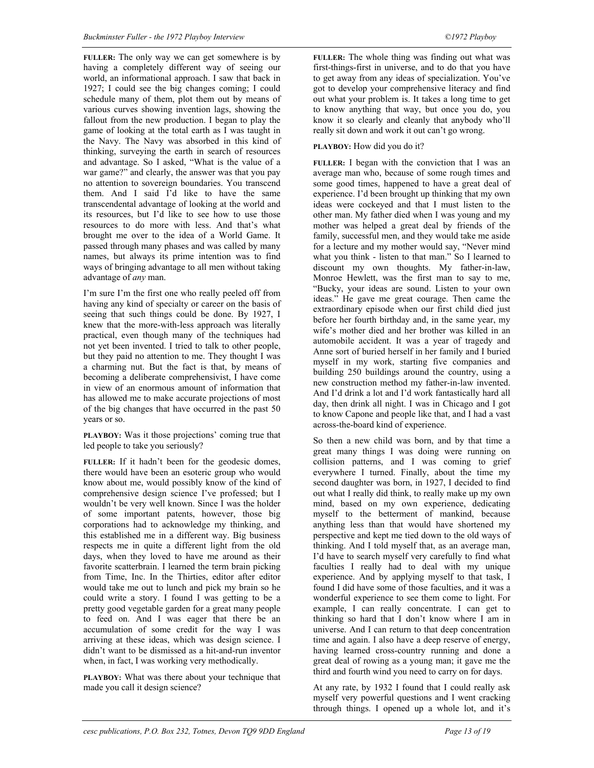**FULLER:** The only way we can get somewhere is by having a completely different way of seeing our world, an informational approach. I saw that back in 1927; I could see the big changes coming; I could schedule many of them, plot them out by means of various curves showing invention lags, showing the fallout from the new production. I began to play the game of looking at the total earth as I was taught in the Navy. The Navy was absorbed in this kind of thinking, surveying the earth in search of resources and advantage. So I asked, "What is the value of a war game?" and clearly, the answer was that you pay no attention to sovereign boundaries. You transcend them. And I said I'd like to have the same transcendental advantage of looking at the world and its resources, but I'd like to see how to use those resources to do more with less. And that's what brought me over to the idea of a World Game. It passed through many phases and was called by many names, but always its prime intention was to find ways of bringing advantage to all men without taking advantage of *any* man.

I'm sure I'm the first one who really peeled off from having any kind of specialty or career on the basis of seeing that such things could be done. By 1927, I knew that the more-with-less approach was literally practical, even though many of the techniques had not yet been invented. I tried to talk to other people, but they paid no attention to me. They thought I was a charming nut. But the fact is that, by means of becoming a deliberate comprehensivist, I have come in view of an enormous amount of information that has allowed me to make accurate projections of most of the big changes that have occurred in the past 50 years or so.

**PLAYBOY:** Was it those projections' coming true that led people to take you seriously?

**FULLER:** If it hadn't been for the geodesic domes, there would have been an esoteric group who would know about me, would possibly know of the kind of comprehensive design science I've professed; but I wouldn't be very well known. Since I was the holder of some important patents, however, those big corporations had to acknowledge my thinking, and this established me in a different way. Big business respects me in quite a different light from the old days, when they loved to have me around as their favorite scatterbrain. I learned the term brain picking from Time, Inc. In the Thirties, editor after editor would take me out to lunch and pick my brain so he could write a story. I found I was getting to be a pretty good vegetable garden for a great many people to feed on. And I was eager that there be an accumulation of some credit for the way I was arriving at these ideas, which was design science. I didn't want to be dismissed as a hit-and-run inventor when, in fact, I was working very methodically.

**PLAYBOY:** What was there about your technique that made you call it design science?

**FULLER:** The whole thing was finding out what was first-things-first in universe, and to do that you have to get away from any ideas of specialization. You've got to develop your comprehensive literacy and find out what your problem is. It takes a long time to get to know anything that way, but once you do, you know it so clearly and cleanly that anybody who'll really sit down and work it out can't go wrong.

## **PLAYBOY:** How did you do it?

**FULLER:** I began with the conviction that I was an average man who, because of some rough times and some good times, happened to have a great deal of experience. I'd been brought up thinking that my own ideas were cockeyed and that I must listen to the other man. My father died when I was young and my mother was helped a great deal by friends of the family, successful men, and they would take me aside for a lecture and my mother would say, "Never mind what you think - listen to that man." So I learned to discount my own thoughts. My father-in-law, Monroe Hewlett, was the first man to say to me, "Bucky, your ideas are sound. Listen to your own ideas." He gave me great courage. Then came the extraordinary episode when our first child died just before her fourth birthday and, in the same year, my wife's mother died and her brother was killed in an automobile accident. It was a year of tragedy and Anne sort of buried herself in her family and I buried myself in my work, starting five companies and building 250 buildings around the country, using a new construction method my father-in-law invented. And I'd drink a lot and I'd work fantastically hard all day, then drink all night. I was in Chicago and I got to know Capone and people like that, and I had a vast across-the-board kind of experience.

So then a new child was born, and by that time a great many things I was doing were running on collision patterns, and I was coming to grief everywhere I turned. Finally, about the time my second daughter was born, in 1927, I decided to find out what I really did think, to really make up my own mind, based on my own experience, dedicating myself to the betterment of mankind, because anything less than that would have shortened my perspective and kept me tied down to the old ways of thinking. And I told myself that, as an average man, I'd have to search myself very carefully to find what faculties I really had to deal with my unique experience. And by applying myself to that task, I found I did have some of those faculties, and it was a wonderful experience to see them come to light. For example, I can really concentrate. I can get to thinking so hard that I don't know where I am in universe. And I can return to that deep concentration time and again. I also have a deep reserve of energy, having learned cross-country running and done a great deal of rowing as a young man; it gave me the third and fourth wind you need to carry on for days.

At any rate, by 1932 I found that I could really ask myself very powerful questions and I went cracking through things. I opened up a whole lot, and it's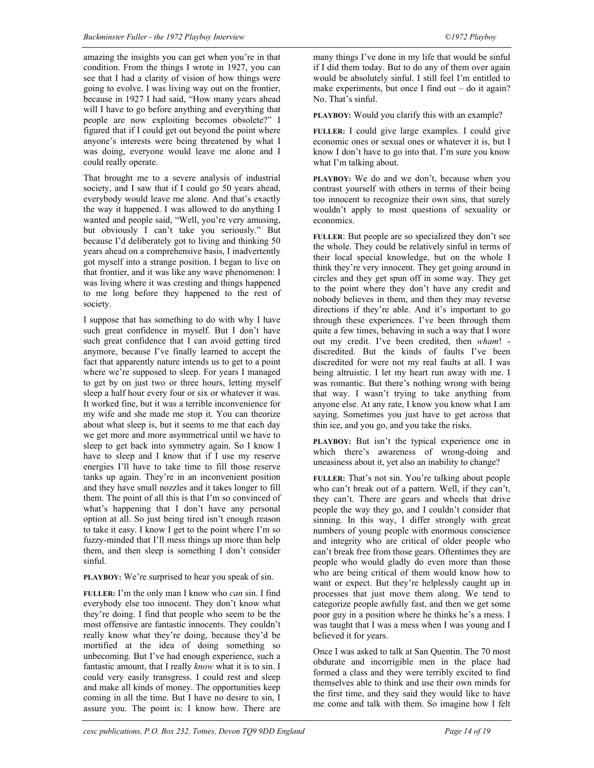amazing the insights you can get when you're in that condition. From the things I wrote in 1927, you can see that I had a clarity of vision of how things were going to evolve. I was living way out on the frontier, because in 1927 I had said, "How many years ahead will I have to go before anything and everything that people are now exploiting becomes obsolete?" I figured that if I could get out beyond the point where anyone's interests were being threatened by what I was doing, everyone would leave me alone and I could really operate.

That brought me to a severe analysis of industrial society, and I saw that if I could go 50 years ahead, everybody would leave me alone. And that's exactly the way it happened. I was allowed to do anything I wanted and people said, "Well, you're very amusing, but obviously I can't take you seriously." But because I'd deliberately got to living and thinking 50 years ahead on a comprehensive basis, I inadvertently got myself into a strange position. I began to live on that frontier, and it was like any wave phenomenon: I was living where it was cresting and things happened to me long before they happened to the rest of society.

I suppose that has something to do with why I have such great confidence in myself. But I don't have such great confidence that I can avoid getting tired anymore, because I've finally learned to accept the fact that apparently nature intends us to get to a point where we're supposed to sleep. For years I managed to get by on just two or three hours, letting myself sleep a half hour every four or six or whatever it was. It worked fine, but it was a terrible inconvenience for my wife and she made me stop it. You can theorize about what sleep is, but it seems to me that each day we get more and more asymmetrical until we have to sleep to get back into symmetry again. So I know I have to sleep and I know that if I use my reserve energies I'll have to take time to fill those reserve tanks up again. They're in an inconvenient position and they have small nozzles and it takes longer to fill them. The point of all this is that I'm so convinced of what's happening that I don't have any personal option at all. So just being tired isn't enough reason to take it easy. I know I get to the point where I'm so fuzzy-minded that I'll mess things up more than help them, and then sleep is something I don't consider sinful.

### **PLAYBOY:** We're surprised to hear you speak of sin.

**FULLER:** I'm the only man I know who *can* sin. I find everybody else too innocent. They don't know what they're doing. I find that people who seem to be the most offensive are fantastic innocents. They couldn't really know what they're doing, because they'd be mortified at the idea of doing something so unbecoming. But I've had enough experience, such a fantastic amount, that I really *know* what it is to sin. I could very easily transgress. I could rest and sleep and make all kinds of money. The opportunities keep coming in all the time. But I have no desire to sin, I assure you. The point is: I know how. There are many things I've done in my life that would be sinful if I did them today. But to do any of them over again would be absolutely sinful. I still feel I'm entitled to make experiments, but once I find out  $-$  do it again? No. That's sinful.

**PLAYBOY:** Would you clarify this with an example?

**FULLER:** I could give large examples. I could give economic ones or sexual ones or whatever it is, but I know I don't have to go into that. I'm sure you know what I'm talking about.

**PLAYBOY:** We do and we don't, because when you contrast yourself with others in terms of their being too innocent to recognize their own sins, that surely wouldn't apply to most questions of sexuality or economics.

**FULLER**: But people are so specialized they don't see the whole. They could be relatively sinful in terms of their local special knowledge, but on the whole I think they're very innocent. They get going around in circles and they get spun off in some way. They get to the point where they don't have any credit and nobody believes in them, and then they may reverse directions if they're able. And it's important to go through these experiences. I've been through them quite a few times, behaving in such a way that I wore out my credit. I've been credited, then *wham*! discredited. But the kinds of faults I've been discredited for were not my real faults at all. I was being altruistic. I let my heart run away with me. I was romantic. But there's nothing wrong with being that way. I wasn't trying to take anything from anyone else. At any rate, I know you know what I am saying. Sometimes you just have to get across that thin ice, and you go, and you take the risks.

**PLAYBOY:** But isn't the typical experience one in which there's awareness of wrong-doing and uneasiness about it, yet also an inability to change?

**FULLER:** That's not sin. You're talking about people who can't break out of a pattern. Well, if they can't, they can't. There are gears and wheels that drive people the way they go, and I couldn't consider that sinning. In this way, I differ strongly with great numbers of young people with enormous conscience and integrity who are critical of older people who can't break free from those gears. Oftentimes they are people who would gladly do even more than those who are being critical of them would know how to want or expect. But they're helplessly caught up in processes that just move them along. We tend to categorize people awfully fast, and then we get some poor guy in a position where he thinks he's a mess. I was taught that I was a mess when I was young and I believed it for years.

Once I was asked to talk at San Quentin. The 70 most obdurate and incorrigible men in the place had formed a class and they were terribly excited to find themselves able to think and use their own minds for the first time, and they said they would like to have me come and talk with them. So imagine how I felt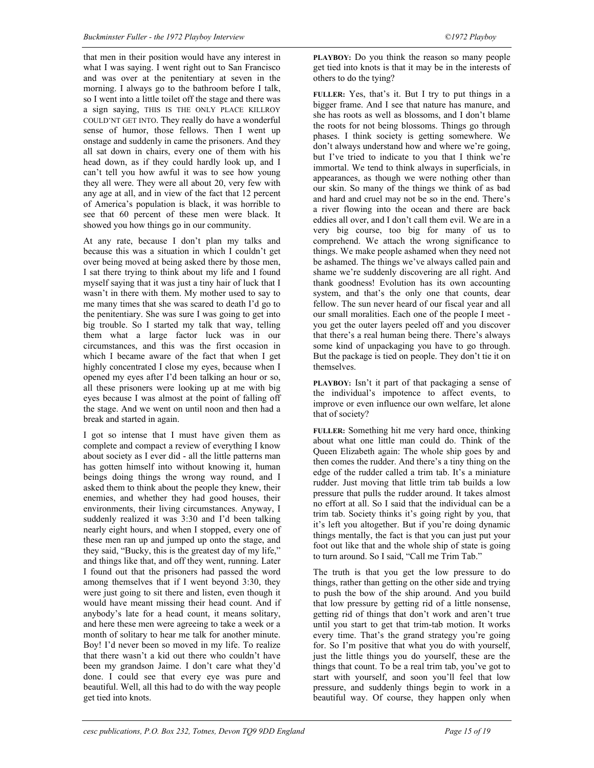that men in their position would have any interest in what I was saying. I went right out to San Francisco and was over at the penitentiary at seven in the morning. I always go to the bathroom before I talk, so I went into a little toilet off the stage and there was a sign saying, THIS IS THE ONLY PLACE KILLROY COULD'NT GET INTO. They really do have a wonderful sense of humor, those fellows. Then I went up onstage and suddenly in came the prisoners. And they all sat down in chairs, every one of them with his head down, as if they could hardly look up, and I can't tell you how awful it was to see how young they all were. They were all about 20, very few with any age at all, and in view of the fact that 12 percent of America's population is black, it was horrible to see that 60 percent of these men were black. It showed you how things go in our community.

At any rate, because I don't plan my talks and because this was a situation in which I couldn't get over being moved at being asked there by those men, I sat there trying to think about my life and I found myself saying that it was just a tiny hair of luck that I wasn't in there with them. My mother used to say to me many times that she was scared to death I'd go to the penitentiary. She was sure I was going to get into big trouble. So I started my talk that way, telling them what a large factor luck was in our circumstances, and this was the first occasion in which I became aware of the fact that when I get highly concentrated I close my eyes, because when I opened my eyes after I'd been talking an hour or so, all these prisoners were looking up at me with big eyes because I was almost at the point of falling off the stage. And we went on until noon and then had a break and started in again.

I got so intense that I must have given them as complete and compact a review of everything I know about society as I ever did - all the little patterns man has gotten himself into without knowing it, human beings doing things the wrong way round, and I asked them to think about the people they knew, their enemies, and whether they had good houses, their environments, their living circumstances. Anyway, I suddenly realized it was 3:30 and I'd been talking nearly eight hours, and when I stopped, every one of these men ran up and jumped up onto the stage, and they said, "Bucky, this is the greatest day of my life," and things like that, and off they went, running. Later I found out that the prisoners had passed the word among themselves that if I went beyond 3:30, they were just going to sit there and listen, even though it would have meant missing their head count. And if anybody's late for a head count, it means solitary, and here these men were agreeing to take a week or a month of solitary to hear me talk for another minute. Boy! I'd never been so moved in my life. To realize that there wasn't a kid out there who couldn't have been my grandson Jaime. I don't care what they'd done. I could see that every eye was pure and beautiful. Well, all this had to do with the way people get tied into knots.

**PLAYBOY:** Do you think the reason so many people get tied into knots is that it may be in the interests of others to do the tying?

**FULLER:** Yes, that's it. But I try to put things in a bigger frame. And I see that nature has manure, and she has roots as well as blossoms, and I don't blame the roots for not being blossoms. Things go through phases. I think society is getting somewhere. We don't always understand how and where we're going, but I've tried to indicate to you that I think we're immortal. We tend to think always in superficials, in appearances, as though we were nothing other than our skin. So many of the things we think of as bad and hard and cruel may not be so in the end. There's a river flowing into the ocean and there are back eddies all over, and I don't call them evil. We are in a very big course, too big for many of us to comprehend. We attach the wrong significance to things. We make people ashamed when they need not be ashamed. The things we've always called pain and shame we're suddenly discovering are all right. And thank goodness! Evolution has its own accounting system, and that's the only one that counts, dear fellow. The sun never heard of our fiscal year and all our small moralities. Each one of the people I meet you get the outer layers peeled off and you discover that there's a real human being there. There's always some kind of unpackaging you have to go through. But the package is tied on people. They don't tie it on themselves.

**PLAYBOY:** Isn't it part of that packaging a sense of the individual's impotence to affect events, to improve or even influence our own welfare, let alone that of society?

**FULLER:** Something hit me very hard once, thinking about what one little man could do. Think of the Queen Elizabeth again: The whole ship goes by and then comes the rudder. And there's a tiny thing on the edge of the rudder called a trim tab. It's a miniature rudder. Just moving that little trim tab builds a low pressure that pulls the rudder around. It takes almost no effort at all. So I said that the individual can be a trim tab. Society thinks it's going right by you, that it's left you altogether. But if you're doing dynamic things mentally, the fact is that you can just put your foot out like that and the whole ship of state is going to turn around. So I said, "Call me Trim Tab."

The truth is that you get the low pressure to do things, rather than getting on the other side and trying to push the bow of the ship around. And you build that low pressure by getting rid of a little nonsense, getting rid of things that don't work and aren't true until you start to get that trim-tab motion. It works every time. That's the grand strategy you're going for. So I'm positive that what you do with yourself, just the little things you do yourself, these are the things that count. To be a real trim tab, you've got to start with yourself, and soon you'll feel that low pressure, and suddenly things begin to work in a beautiful way. Of course, they happen only when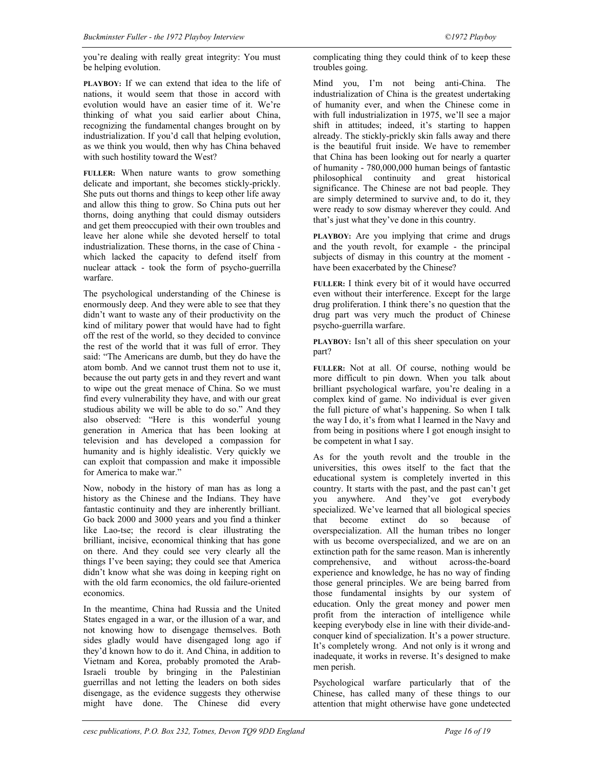you're dealing with really great integrity: You must be helping evolution.

**PLAYBOY:** If we can extend that idea to the life of nations, it would seem that those in accord with evolution would have an easier time of it. We're thinking of what you said earlier about China, recognizing the fundamental changes brought on by industrialization. If you'd call that helping evolution, as we think you would, then why has China behaved with such hostility toward the West?

**FULLER:** When nature wants to grow something delicate and important, she becomes stickly-prickly. She puts out thorns and things to keep other life away and allow this thing to grow. So China puts out her thorns, doing anything that could dismay outsiders and get them preoccupied with their own troubles and leave her alone while she devoted herself to total industrialization. These thorns, in the case of China which lacked the capacity to defend itself from nuclear attack - took the form of psycho-guerrilla warfare.

The psychological understanding of the Chinese is enormously deep. And they were able to see that they didn't want to waste any of their productivity on the kind of military power that would have had to fight off the rest of the world, so they decided to convince the rest of the world that it was full of error. They said: "The Americans are dumb, but they do have the atom bomb. And we cannot trust them not to use it, because the out party gets in and they revert and want to wipe out the great menace of China. So we must find every vulnerability they have, and with our great studious ability we will be able to do so." And they also observed: "Here is this wonderful young generation in America that has been looking at television and has developed a compassion for humanity and is highly idealistic. Very quickly we can exploit that compassion and make it impossible for America to make war."

Now, nobody in the history of man has as long a history as the Chinese and the Indians. They have fantastic continuity and they are inherently brilliant. Go back 2000 and 3000 years and you find a thinker like Lao-tse; the record is clear illustrating the brilliant, incisive, economical thinking that has gone on there. And they could see very clearly all the things I've been saying; they could see that America didn't know what she was doing in keeping right on with the old farm economics, the old failure-oriented economics.

In the meantime, China had Russia and the United States engaged in a war, or the illusion of a war, and not knowing how to disengage themselves. Both sides gladly would have disengaged long ago if they'd known how to do it. And China, in addition to Vietnam and Korea, probably promoted the Arab-Israeli trouble by bringing in the Palestinian guerrillas and not letting the leaders on both sides disengage, as the evidence suggests they otherwise might have done. The Chinese did every Mind you, I'm not being anti-China. The industrialization of China is the greatest undertaking of humanity ever, and when the Chinese come in with full industrialization in 1975, we'll see a major shift in attitudes; indeed, it's starting to happen already. The stickly-prickly skin falls away and there is the beautiful fruit inside. We have to remember that China has been looking out for nearly a quarter of humanity - 780,000,000 human beings of fantastic philosophical continuity and great historical significance. The Chinese are not bad people. They are simply determined to survive and, to do it, they were ready to sow dismay wherever they could. And that's just what they've done in this country.

**PLAYBOY:** Are you implying that crime and drugs and the youth revolt, for example - the principal subjects of dismay in this country at the moment have been exacerbated by the Chinese?

**FULLER:** I think every bit of it would have occurred even without their interference. Except for the large drug proliferation. I think there's no question that the drug part was very much the product of Chinese psycho-guerrilla warfare.

**PLAYBOY:** Isn't all of this sheer speculation on your part?

**FULLER:** Not at all. Of course, nothing would be more difficult to pin down. When you talk about brilliant psychological warfare, you're dealing in a complex kind of game. No individual is ever given the full picture of what's happening. So when I talk the way I do, it's from what I learned in the Navy and from being in positions where I got enough insight to be competent in what I say.

As for the youth revolt and the trouble in the universities, this owes itself to the fact that the educational system is completely inverted in this country. It starts with the past, and the past can't get you anywhere. And they've got everybody specialized. We've learned that all biological species that become extinct do so because of overspecialization. All the human tribes no longer with us become overspecialized, and we are on an extinction path for the same reason. Man is inherently comprehensive, and without across-the-board experience and knowledge, he has no way of finding those general principles. We are being barred from those fundamental insights by our system of education. Only the great money and power men profit from the interaction of intelligence while keeping everybody else in line with their divide-andconquer kind of specialization. It's a power structure. It's completely wrong. And not only is it wrong and inadequate, it works in reverse. It's designed to make men perish.

Psychological warfare particularly that of the Chinese, has called many of these things to our attention that might otherwise have gone undetected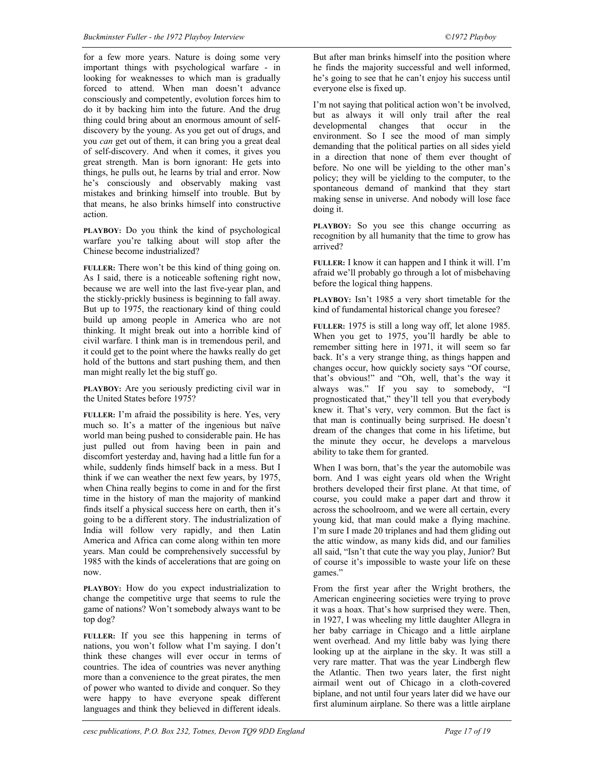for a few more years. Nature is doing some very important things with psychological warfare - in looking for weaknesses to which man is gradually forced to attend. When man doesn't advance consciously and competently, evolution forces him to do it by backing him into the future. And the drug thing could bring about an enormous amount of selfdiscovery by the young. As you get out of drugs, and you *can* get out of them, it can bring you a great deal of self-discovery. And when it comes, it gives you great strength. Man is born ignorant: He gets into things, he pulls out, he learns by trial and error. Now he's consciously and observably making vast mistakes and brinking himself into trouble. But by that means, he also brinks himself into constructive action.

**PLAYBOY:** Do you think the kind of psychological warfare you're talking about will stop after the Chinese become industrialized?

**FULLER:** There won't be this kind of thing going on. As I said, there is a noticeable softening right now, because we are well into the last five-year plan, and the stickly-prickly business is beginning to fall away. But up to 1975, the reactionary kind of thing could build up among people in America who are not thinking. It might break out into a horrible kind of civil warfare. I think man is in tremendous peril, and it could get to the point where the hawks really do get hold of the buttons and start pushing them, and then man might really let the big stuff go.

**PLAYBOY:** Are you seriously predicting civil war in the United States before 1975?

**FULLER:** I'm afraid the possibility is here. Yes, very much so. It's a matter of the ingenious but naïve world man being pushed to considerable pain. He has just pulled out from having been in pain and discomfort yesterday and, having had a little fun for a while, suddenly finds himself back in a mess. But I think if we can weather the next few years, by 1975, when China really begins to come in and for the first time in the history of man the majority of mankind finds itself a physical success here on earth, then it's going to be a different story. The industrialization of India will follow very rapidly, and then Latin America and Africa can come along within ten more years. Man could be comprehensively successful by 1985 with the kinds of accelerations that are going on now.

**PLAYBOY:** How do you expect industrialization to change the competitive urge that seems to rule the game of nations? Won't somebody always want to be top dog?

**FULLER:** If you see this happening in terms of nations, you won't follow what I'm saying. I don't think these changes will ever occur in terms of countries. The idea of countries was never anything more than a convenience to the great pirates, the men of power who wanted to divide and conquer. So they were happy to have everyone speak different languages and think they believed in different ideals. But after man brinks himself into the position where he finds the majority successful and well informed, he's going to see that he can't enjoy his success until everyone else is fixed up.

I'm not saying that political action won't be involved, but as always it will only trail after the real developmental changes that occur in the environment. So I see the mood of man simply demanding that the political parties on all sides yield in a direction that none of them ever thought of before. No one will be yielding to the other man's policy; they will be yielding to the computer, to the spontaneous demand of mankind that they start making sense in universe. And nobody will lose face doing it.

**PLAYBOY:** So you see this change occurring as recognition by all humanity that the time to grow has arrived?

**FULLER:** I know it can happen and I think it will. I'm afraid we'll probably go through a lot of misbehaving before the logical thing happens.

**PLAYBOY:** Isn't 1985 a very short timetable for the kind of fundamental historical change you foresee?

**FULLER:** 1975 is still a long way off, let alone 1985. When you get to 1975, you'll hardly be able to remember sitting here in 1971, it will seem so far back. It's a very strange thing, as things happen and changes occur, how quickly society says "Of course, that's obvious!" and "Oh, well, that's the way it always was." If you say to somebody, "I prognosticated that," they'll tell you that everybody knew it. That's very, very common. But the fact is that man is continually being surprised. He doesn't dream of the changes that come in his lifetime, but the minute they occur, he develops a marvelous ability to take them for granted.

When I was born, that's the year the automobile was born. And I was eight years old when the Wright brothers developed their first plane. At that time, of course, you could make a paper dart and throw it across the schoolroom, and we were all certain, every young kid, that man could make a flying machine. I'm sure I made 20 triplanes and had them gliding out the attic window, as many kids did, and our families all said, "Isn't that cute the way you play, Junior? But of course it's impossible to waste your life on these games."

From the first year after the Wright brothers, the American engineering societies were trying to prove it was a hoax. That's how surprised they were. Then, in 1927, I was wheeling my little daughter Allegra in her baby carriage in Chicago and a little airplane went overhead. And my little baby was lying there looking up at the airplane in the sky. It was still a very rare matter. That was the year Lindbergh flew the Atlantic. Then two years later, the first night airmail went out of Chicago in a cloth-covered biplane, and not until four years later did we have our first aluminum airplane. So there was a little airplane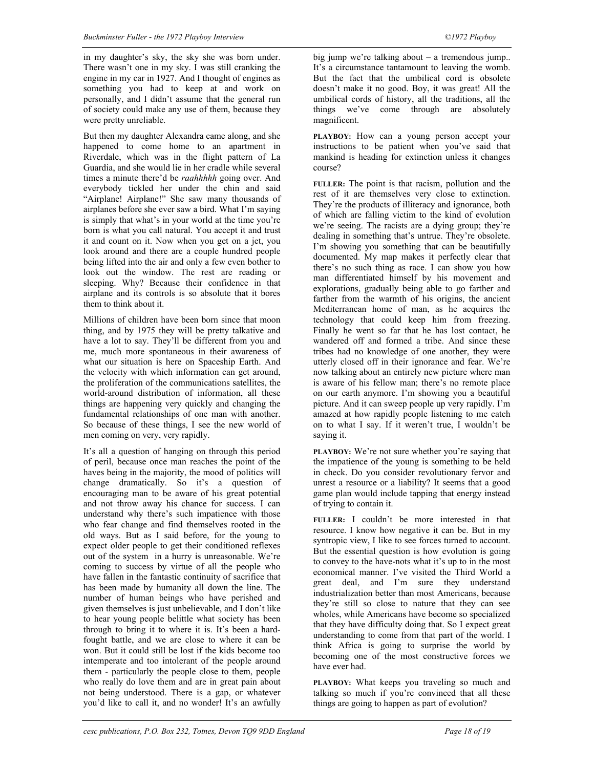in my daughter's sky, the sky she was born under. There wasn't one in my sky. I was still cranking the engine in my car in 1927. And I thought of engines as something you had to keep at and work on personally, and I didn't assume that the general run of society could make any use of them, because they were pretty unreliable.

But then my daughter Alexandra came along, and she happened to come home to an apartment in Riverdale, which was in the flight pattern of La Guardia, and she would lie in her cradle while several times a minute there'd be *raahhhhh* going over. And everybody tickled her under the chin and said "Airplane! Airplane!" She saw many thousands of airplanes before she ever saw a bird. What I'm saying is simply that what's in your world at the time you're born is what you call natural. You accept it and trust it and count on it. Now when you get on a jet, you look around and there are a couple hundred people being lifted into the air and only a few even bother to look out the window. The rest are reading or sleeping. Why? Because their confidence in that airplane and its controls is so absolute that it bores them to think about it.

Millions of children have been born since that moon thing, and by 1975 they will be pretty talkative and have a lot to say. They'll be different from you and me, much more spontaneous in their awareness of what our situation is here on Spaceship Earth. And the velocity with which information can get around, the proliferation of the communications satellites, the world-around distribution of information, all these things are happening very quickly and changing the fundamental relationships of one man with another. So because of these things, I see the new world of men coming on very, very rapidly.

It's all a question of hanging on through this period of peril, because once man reaches the point of the haves being in the majority, the mood of politics will change dramatically. So it's a question of encouraging man to be aware of his great potential and not throw away his chance for success. I can understand why there's such impatience with those who fear change and find themselves rooted in the old ways. But as I said before, for the young to expect older people to get their conditioned reflexes out of the system in a hurry is unreasonable. We're coming to success by virtue of all the people who have fallen in the fantastic continuity of sacrifice that has been made by humanity all down the line. The number of human beings who have perished and given themselves is just unbelievable, and I don't like to hear young people belittle what society has been through to bring it to where it is. It's been a hardfought battle, and we are close to where it can be won. But it could still be lost if the kids become too intemperate and too intolerant of the people around them - particularly the people close to them, people who really do love them and are in great pain about not being understood. There is a gap, or whatever you'd like to call it, and no wonder! It's an awfully

big jump we're talking about – a tremendous jump.. It's a circumstance tantamount to leaving the womb. But the fact that the umbilical cord is obsolete doesn't make it no good. Boy, it was great! All the umbilical cords of history, all the traditions, all the things we've come through are absolutely magnificent.

**PLAYBOY:** How can a young person accept your instructions to be patient when you've said that mankind is heading for extinction unless it changes course?

**FULLER:** The point is that racism, pollution and the rest of it are themselves very close to extinction. They're the products of illiteracy and ignorance, both of which are falling victim to the kind of evolution we're seeing. The racists are a dying group; they're dealing in something that's untrue. They're obsolete. I'm showing you something that can be beautifully documented. My map makes it perfectly clear that there's no such thing as race. I can show you how man differentiated himself by his movement and explorations, gradually being able to go farther and farther from the warmth of his origins, the ancient Mediterranean home of man, as he acquires the technology that could keep him from freezing. Finally he went so far that he has lost contact, he wandered off and formed a tribe. And since these tribes had no knowledge of one another, they were utterly closed off in their ignorance and fear. We're now talking about an entirely new picture where man is aware of his fellow man; there's no remote place on our earth anymore. I'm showing you a beautiful picture. And it can sweep people up very rapidly. I'm amazed at how rapidly people listening to me catch on to what I say. If it weren't true, I wouldn't be saying it.

**PLAYBOY:** We're not sure whether you're saying that the impatience of the young is something to be held in check. Do you consider revolutionary fervor and unrest a resource or a liability? It seems that a good game plan would include tapping that energy instead of trying to contain it.

**FULLER:** I couldn't be more interested in that resource. I know how negative it can be. But in my syntropic view, I like to see forces turned to account. But the essential question is how evolution is going to convey to the have-nots what it's up to in the most economical manner. I've visited the Third World a great deal, and I'm sure they understand industrialization better than most Americans, because they're still so close to nature that they can see wholes, while Americans have become so specialized that they have difficulty doing that. So I expect great understanding to come from that part of the world. I think Africa is going to surprise the world by becoming one of the most constructive forces we have ever had.

**PLAYBOY:** What keeps you traveling so much and talking so much if you're convinced that all these things are going to happen as part of evolution?